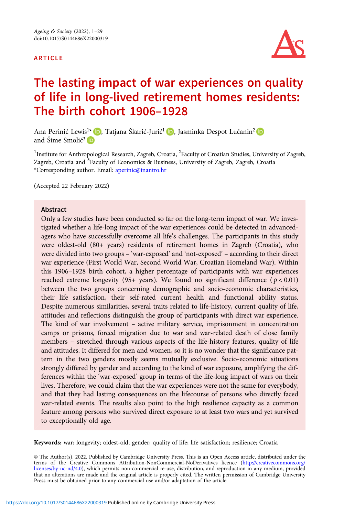#### ARTICLE



# The lasting impact of war experiences on quality of life in long-lived retirement homes residents: The birth cohort 1906–1928

Ana Perinić Lewis<sup>1\*</sup> D[,](https://orcid.org/0000-0003-3708-6170) Tatjana Škarić-Jurić<sup>1</sup> D, Jasminka Despot Lučanin<sup>2</sup> D and Šime Smolić<sup>3</sup>

<sup>1</sup>Institute for Anthropological Research, Zagreb, Croatia, <sup>2</sup>Faculty of Croatian Studies, University of Zagreb, Zagreb, Croatia and <sup>3</sup>Faculty of Economics & Business, University of Zagreb, Zagreb, Croatia \*Corresponding author. Email: [aperinic@inantro.hr](mailto:aperinic@inantro.hr)

(Accepted 22 February 2022)

#### Abstract

Only a few studies have been conducted so far on the long-term impact of war. We investigated whether a life-long impact of the war experiences could be detected in advancedagers who have successfully overcome all life's challenges. The participants in this study were oldest-old (80+ years) residents of retirement homes in Zagreb (Croatia), who were divided into two groups – 'war-exposed' and 'not-exposed' – according to their direct war experience (First World War, Second World War, Croatian Homeland War). Within this 1906–1928 birth cohort, a higher percentage of participants with war experiences reached extreme longevity (95+ years). We found no significant difference ( $p < 0.01$ ) between the two groups concerning demographic and socio-economic characteristics, their life satisfaction, their self-rated current health and functional ability status. Despite numerous similarities, several traits related to life-history, current quality of life, attitudes and reflections distinguish the group of participants with direct war experience. The kind of war involvement – active military service, imprisonment in concentration camps or prisons, forced migration due to war and war-related death of close family members – stretched through various aspects of the life-history features, quality of life and attitudes. It differed for men and women, so it is no wonder that the significance pattern in the two genders mostly seems mutually exclusive. Socio-economic situations strongly differed by gender and according to the kind of war exposure, amplifying the differences within the 'war-exposed' group in terms of the life-long impact of wars on their lives. Therefore, we could claim that the war experiences were not the same for everybody, and that they had lasting consequences on the lifecourse of persons who directly faced war-related events. The results also point to the high resilience capacity as a common feature among persons who survived direct exposure to at least two wars and yet survived to exceptionally old age.

Keywords: war; longevity; oldest-old; gender; quality of life; life satisfaction; resilience; Croatia

© The Author(s), 2022. Published by Cambridge University Press. This is an Open Access article, distributed under the terms of the Creative Commons Attribution-NonCommercial-NoDerivatives licence ([http://creativecommons.org/](http://creativecommons.org/licenses/by-nc-nd/4.0) [licenses/by-nc-nd/4.0](http://creativecommons.org/licenses/by-nc-nd/4.0)), which permits non-commercial re-use, distribution, and reproduction in any medium, provided that no alterations are made and the original article is properly cited. The written permission of Cambridge University Press must be obtained prior to any commercial use and/or adaptation of the article.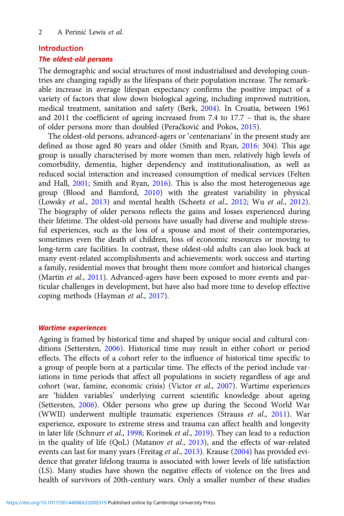#### Introduction

#### The oldest-old persons

The demographic and social structures of most industrialised and developing countries are changing rapidly as the lifespans of their population increase. The remarkable increase in average lifespan expectancy confirms the positive impact of a variety of factors that slow down biological ageing, including improved nutrition, medical treatment, sanitation and safety (Berk, [2004](#page-24-0)). In Croatia, between 1961 and 2011 the coefficient of ageing increased from 7.4 to 17.7 – that is, the share of older persons more than doubled (Peračković and Pokos, [2015](#page-26-0)).

The oldest-old persons, advanced-agers or 'centenarians' in the present study are defined as those aged 80 years and older (Smith and Ryan, [2016](#page-27-0): 304). This age group is usually characterised by more women than men, relatively high levels of comorbidity, dementia, higher dependency and institutionalisation, as well as reduced social interaction and increased consumption of medical services (Felten and Hall, [2001](#page-25-0); Smith and Ryan, [2016](#page-27-0)). This is also the most heterogeneous age group (Blood and Bamford, [2010](#page-24-0)) with the greatest variability in physical (Lowsky et al., [2013\)](#page-26-0) and mental health (Scheetz et al., [2012](#page-26-0); Wu et al., [2012\)](#page-28-0). The biography of older persons reflects the gains and losses experienced during their lifetime. The oldest-old persons have usually had diverse and multiple stressful experiences, such as the loss of a spouse and most of their contemporaries, sometimes even the death of children, loss of economic resources or moving to long-term care facilities. In contrast, these oldest-old adults can also look back at many event-related accomplishments and achievements: work success and starting a family, residential moves that brought them more comfort and historical changes (Martin et al., [2011](#page-26-0)). Advanced-agers have been exposed to more events and particular challenges in development, but have also had more time to develop effective coping methods (Hayman et al., [2017\)](#page-25-0).

#### Wartime experiences

Ageing is framed by historical time and shaped by unique social and cultural conditions (Settersten, [2006\)](#page-27-0). Historical time may result in either cohort or period effects. The effects of a cohort refer to the influence of historical time specific to a group of people born at a particular time. The effects of the period include variations in time periods that affect all populations in society regardless of age and cohort (war, famine, economic crisis) (Victor et al., [2007](#page-27-0)). Wartime experiences are 'hidden variables' underlying current scientific knowledge about ageing (Settersten, [2006](#page-27-0)). Older persons who grew up during the Second World War (WWII) underwent multiple traumatic experiences (Strauss et al., [2011](#page-27-0)). War experience, exposure to extreme stress and trauma can affect health and longevity in later life (Schnurr et al., [1998](#page-27-0); Korinek et al., [2019\)](#page-26-0). They can lead to a reduction in the quality of life (QoL) (Matanov et al., [2013\)](#page-26-0), and the effects of war-related events can last for many years (Freitag et al., [2013](#page-25-0)). Krause ([2004](#page-26-0)) has provided evidence that greater lifelong trauma is associated with lower levels of life satisfaction (LS). Many studies have shown the negative effects of violence on the lives and health of survivors of 20th-century wars. Only a smaller number of these studies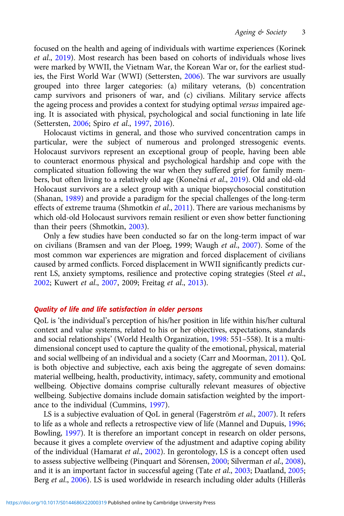focused on the health and ageing of individuals with wartime experiences (Korinek et al., [2019\)](#page-26-0). Most research has been based on cohorts of individuals whose lives were marked by WWII, the Vietnam War, the Korean War or, for the earliest studies, the First World War (WWI) (Settersten, [2006\)](#page-27-0). The war survivors are usually grouped into three larger categories: (a) military veterans, (b) concentration camp survivors and prisoners of war, and (c) civilians. Military service affects the ageing process and provides a context for studying optimal versus impaired ageing. It is associated with physical, psychological and social functioning in late life (Settersten, [2006](#page-27-0); Spiro et al., [1997](#page-27-0), [2016\)](#page-27-0).

Holocaust victims in general, and those who survived concentration camps in particular, were the subject of numerous and prolonged stressogenic events. Holocaust survivors represent an exceptional group of people, having been able to counteract enormous physical and psychological hardship and cope with the complicated situation following the war when they suffered grief for family members, but often living to a relatively old age (Konečná et al., [2019\)](#page-25-0). Old and old-old Holocaust survivors are a select group with a unique biopsychosocial constitution (Shanan, [1989](#page-27-0)) and provide a paradigm for the special challenges of the long-term effects of extreme trauma (Shmotkin et al., [2011\)](#page-27-0). There are various mechanisms by which old-old Holocaust survivors remain resilient or even show better functioning than their peers (Shmotkin, [2003\)](#page-27-0).

Only a few studies have been conducted so far on the long-term impact of war on civilians (Bramsen and van der Ploeg, 1999; Waugh et al., [2007\)](#page-27-0). Some of the most common war experiences are migration and forced displacement of civilians caused by armed conflicts. Forced displacement in WWII significantly predicts current LS, anxiety symptoms, resilience and protective coping strategies (Steel et al., [2002](#page-27-0); Kuwert et al., [2007,](#page-26-0) 2009; Freitag et al., [2013\)](#page-25-0).

### Quality of life and life satisfaction in older persons

QoL is 'the individual's perception of his/her position in life within his/her cultural context and value systems, related to his or her objectives, expectations, standards and social relationships' (World Health Organization, [1998:](#page-27-0) 551–558). It is a multidimensional concept used to capture the quality of the emotional, physical, material and social wellbeing of an individual and a society (Carr and Moorman, [2011](#page-24-0)). QoL is both objective and subjective, each axis being the aggregate of seven domains: material wellbeing, health, productivity, intimacy, safety, community and emotional wellbeing. Objective domains comprise culturally relevant measures of objective wellbeing. Subjective domains include domain satisfaction weighted by the importance to the individual (Cummins, [1997\)](#page-24-0).

LS is a subjective evaluation of QoL in general (Fagerström et al., [2007](#page-25-0)). It refers to life as a whole and reflects a retrospective view of life (Mannel and Dupuis, [1996](#page-26-0); Bowling, [1997](#page-24-0)). It is therefore an important concept in research on older persons, because it gives a complete overview of the adjustment and adaptive coping ability of the individual (Hamarat et al., [2002\)](#page-25-0). In gerontology, LS is a concept often used to assess subjective wellbeing (Pinquart and Sörensen, [2000](#page-26-0); Silverman et al., [2008\)](#page-27-0), and it is an important factor in successful ageing (Tate et al., [2003](#page-27-0); Daatland, [2005](#page-24-0); Berg et al., [2006\)](#page-24-0). LS is used worldwide in research including older adults (Hillerås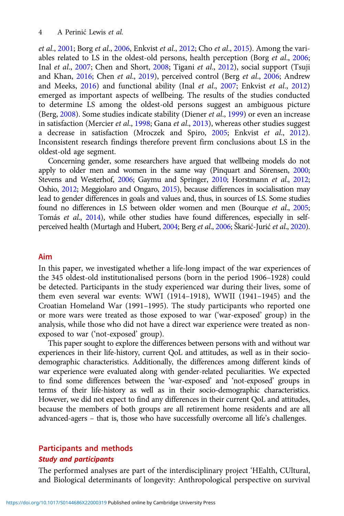et al., [2001;](#page-25-0) Borg et al., [2006,](#page-24-0) Enkvist et al., [2012;](#page-25-0) Cho et al., [2015](#page-24-0)). Among the variables related to LS in the oldest-old persons, health perception (Borg et al., [2006](#page-24-0); Inal et al., [2007;](#page-25-0) Chen and Short, [2008](#page-24-0); Tigani et al., [2012\)](#page-27-0), social support (Tsuji and Khan, [2016](#page-27-0); Chen et al., [2019](#page-24-0)), perceived control (Berg et al., [2006;](#page-24-0) Andrew and Meeks, [2016\)](#page-24-0) and functional ability (Inal et al., [2007;](#page-25-0) Enkvist et al., [2012\)](#page-25-0) emerged as important aspects of wellbeing. The results of the studies conducted to determine LS among the oldest-old persons suggest an ambiguous picture (Berg, [2008\)](#page-24-0). Some studies indicate stability (Diener et al., [1999\)](#page-25-0) or even an increase in satisfaction (Mercier et al., [1998](#page-26-0); Gana et al., [2013\)](#page-25-0), whereas other studies suggest a decrease in satisfaction (Mroczek and Spiro, [2005;](#page-26-0) Enkvist et al., [2012\)](#page-25-0). Inconsistent research findings therefore prevent firm conclusions about LS in the oldest-old age segment.

Concerning gender, some researchers have argued that wellbeing models do not apply to older men and women in the same way (Pinquart and Sörensen, [2000](#page-26-0); Stevens and Westerhof, [2006](#page-27-0); Gaymu and Springer, [2010](#page-25-0); Horstmann et al., [2012](#page-25-0); Oshio, [2012](#page-26-0); Meggiolaro and Ongaro, [2015\)](#page-26-0), because differences in socialisation may lead to gender differences in goals and values and, thus, in sources of LS. Some studies found no differences in LS between older women and men (Bourque et al., [2005](#page-24-0); Tomás et al., [2014](#page-27-0)), while other studies have found differences, especially in selfperceived health (Murtagh and Hubert, [2004;](#page-26-0) Berg et al., [2006;](#page-24-0) Škarić-Jurić et al., [2020\)](#page-27-0).

## Aim

In this paper, we investigated whether a life-long impact of the war experiences of the 345 oldest-old institutionalised persons (born in the period 1906–1928) could be detected. Participants in the study experienced war during their lives, some of them even several war events: WWI (1914–1918), WWII (1941–1945) and the Croatian Homeland War (1991–1995). The study participants who reported one or more wars were treated as those exposed to war ('war-exposed' group) in the analysis, while those who did not have a direct war experience were treated as nonexposed to war ('not-exposed' group).

This paper sought to explore the differences between persons with and without war experiences in their life-history, current QoL and attitudes, as well as in their sociodemographic characteristics. Additionally, the differences among different kinds of war experience were evaluated along with gender-related peculiarities. We expected to find some differences between the 'war-exposed' and 'not-exposed' groups in terms of their life-history as well as in their socio-demographic characteristics. However, we did not expect to find any differences in their current QoL and attitudes, because the members of both groups are all retirement home residents and are all advanced-agers – that is, those who have successfully overcome all life's challenges.

# Participants and methods

### Study and participants

The performed analyses are part of the interdisciplinary project 'HEalth, CUltural, and Biological determinants of longevity: Anthropological perspective on survival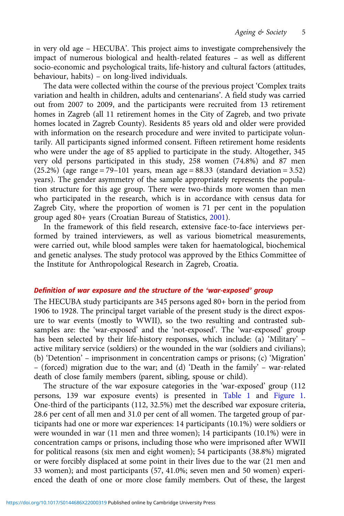in very old age – HECUBA'. This project aims to investigate comprehensively the impact of numerous biological and health-related features – as well as different socio-economic and psychological traits, life-history and cultural factors (attitudes, behaviour, habits) – on long-lived individuals.

The data were collected within the course of the previous project 'Complex traits variation and health in children, adults and centenarians'. A field study was carried out from 2007 to 2009, and the participants were recruited from 13 retirement homes in Zagreb (all 11 retirement homes in the City of Zagreb, and two private homes located in Zagreb County). Residents 85 years old and older were provided with information on the research procedure and were invited to participate voluntarily. All participants signed informed consent. Fifteen retirement home residents who were under the age of 85 applied to participate in the study. Altogether, 345 very old persons participated in this study, 258 women (74.8%) and 87 men  $(25.2%)$  (age range = 79–101 years, mean age = 88.33 (standard deviation = 3.52) years). The gender asymmetry of the sample appropriately represents the population structure for this age group. There were two-thirds more women than men who participated in the research, which is in accordance with census data for Zagreb City, where the proportion of women is 71 per cent in the population group aged 80+ years (Croatian Bureau of Statistics, [2001](#page-24-0)).

In the framework of this field research, extensive face-to-face interviews performed by trained interviewers, as well as various biometrical measurements, were carried out, while blood samples were taken for haematological, biochemical and genetic analyses. The study protocol was approved by the Ethics Committee of the Institute for Anthropological Research in Zagreb, Croatia.

## Definition of war exposure and the structure of the 'war-exposed' group

The HECUBA study participants are 345 persons aged 80+ born in the period from 1906 to 1928. The principal target variable of the present study is the direct exposure to war events (mostly to WWII), so the two resulting and contrasted subsamples are: the 'war-exposed' and the 'not-exposed'. The 'war-exposed' group has been selected by their life-history responses, which include: (a) 'Military' – active military service (soldiers) or the wounded in the war (soldiers and civilians); (b) 'Detention' – imprisonment in concentration camps or prisons; (c) 'Migration' – (forced) migration due to the war; and (d) 'Death in the family' – war-related death of close family members (parent, sibling, spouse or child).

The structure of the war exposure categories in the 'war-exposed' group (112 persons, 139 war exposure events) is presented in [Table 1](#page-5-0) and [Figure 1](#page-5-0). One-third of the participants (112, 32.5%) met the described war exposure criteria, 28.6 per cent of all men and 31.0 per cent of all women. The targeted group of participants had one or more war experiences: 14 participants (10.1%) were soldiers or were wounded in war (11 men and three women); 14 participants (10.1%) were in concentration camps or prisons, including those who were imprisoned after WWII for political reasons (six men and eight women); 54 participants (38.8%) migrated or were forcibly displaced at some point in their lives due to the war (21 men and 33 women); and most participants (57, 41.0%; seven men and 50 women) experienced the death of one or more close family members. Out of these, the largest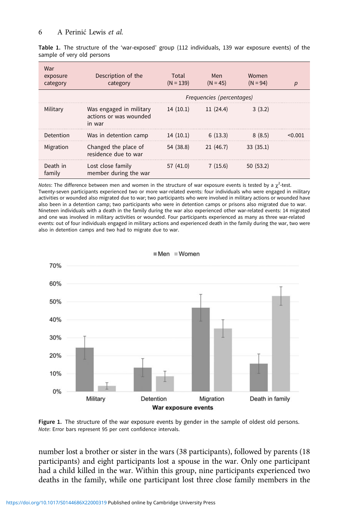<span id="page-5-0"></span>Table 1. The structure of the 'war-exposed' group (112 individuals, 139 war exposure events) of the sample of very old persons

| War<br>exposure<br>category | Description of the<br>category                              | Total<br>$(N = 139)$ | Men<br>$(N = 45)$         | Women<br>$(N = 94)$ |  |
|-----------------------------|-------------------------------------------------------------|----------------------|---------------------------|---------------------|--|
|                             |                                                             |                      | Frequencies (percentages) |                     |  |
| Military                    | Was engaged in military<br>actions or was wounded<br>in war | 14(10.1)             | 11(24.4)                  | 3(3.2)              |  |
| Detention                   | Was in detention camp                                       | 14(10.1)             | 6(13.3)                   | 8(8.5)              |  |
| Migration                   | Changed the place of<br>residence due to war                | 54 (38.8)            | 21(46.7)                  | 33(35.1)            |  |
| Death in<br>family          | Lost close family<br>member during the war                  | 57 (41.0)            | 7(15.6)                   | 50(53.2)            |  |

Notes: The difference between men and women in the structure of war exposure events is tested by a  $\chi^2$ -test. Twenty-seven participants experienced two or more war-related events: four individuals who were engaged in military activities or wounded also migrated due to war; two participants who were involved in military actions or wounded have also been in a detention camp; two participants who were in detention camps or prisons also migrated due to war. Nineteen individuals with a death in the family during the war also experienced other war-related events: 14 migrated and one was involved in military activities or wounded. Four participants experienced as many as three war-related events: out of four individuals engaged in military actions and experienced death in the family during the war, two were also in detention camps and two had to migrate due to war.



Men Women

Figure 1. The structure of the war exposure events by gender in the sample of oldest old persons. Note: Error bars represent 95 per cent confidence intervals.

number lost a brother or sister in the wars (38 participants), followed by parents (18 participants) and eight participants lost a spouse in the war. Only one participant had a child killed in the war. Within this group, nine participants experienced two deaths in the family, while one participant lost three close family members in the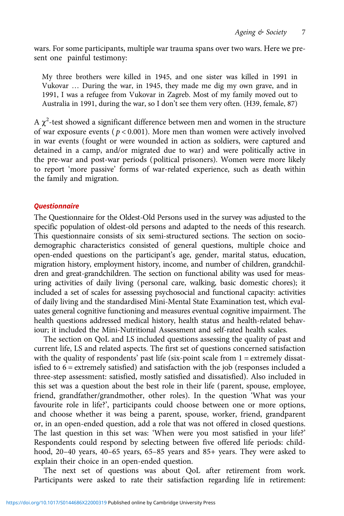wars. For some participants, multiple war trauma spans over two wars. Here we present one painful testimony:

My three brothers were killed in 1945, and one sister was killed in 1991 in Vukovar … During the war, in 1945, they made me dig my own grave, and in 1991, I was a refugee from Vukovar in Zagreb. Most of my family moved out to Australia in 1991, during the war, so I don't see them very often. (H39, female, 87)

A  $\chi^2$ -test showed a significant difference between men and women in the structure of war exposure events ( $p < 0.001$ ). More men than women were actively involved in war events (fought or were wounded in action as soldiers, were captured and detained in a camp, and/or migrated due to war) and were politically active in the pre-war and post-war periods (political prisoners). Women were more likely to report 'more passive' forms of war-related experience, such as death within the family and migration.

## **Ouestionnaire**

The Questionnaire for the Oldest-Old Persons used in the survey was adjusted to the specific population of oldest-old persons and adapted to the needs of this research. This questionnaire consists of six semi-structured sections. The section on sociodemographic characteristics consisted of general questions, multiple choice and open-ended questions on the participant's age, gender, marital status, education, migration history, employment history, income, and number of children, grandchildren and great-grandchildren. The section on functional ability was used for measuring activities of daily living (personal care, walking, basic domestic chores); it included a set of scales for assessing psychosocial and functional capacity: activities of daily living and the standardised Mini-Mental State Examination test, which evaluates general cognitive functioning and measures eventual cognitive impairment. The health questions addressed medical history, health status and health-related behaviour; it included the Mini-Nutritional Assessment and self-rated health scales.

The section on QoL and LS included questions assessing the quality of past and current life, LS and related aspects. The first set of questions concerned satisfaction with the quality of respondents' past life (six-point scale from 1 = extremely dissatisfied to  $6 =$  extremely satisfied) and satisfaction with the job (responses included a three-step assessment: satisfied, mostly satisfied and dissatisfied). Also included in this set was a question about the best role in their life (parent, spouse, employee, friend, grandfather/grandmother, other roles). In the question 'What was your favourite role in life?', participants could choose between one or more options, and choose whether it was being a parent, spouse, worker, friend, grandparent or, in an open-ended question, add a role that was not offered in closed questions. The last question in this set was: 'When were you most satisfied in your life?' Respondents could respond by selecting between five offered life periods: childhood, 20–40 years, 40–65 years, 65–85 years and 85+ years. They were asked to explain their choice in an open-ended question.

The next set of questions was about QoL after retirement from work. Participants were asked to rate their satisfaction regarding life in retirement: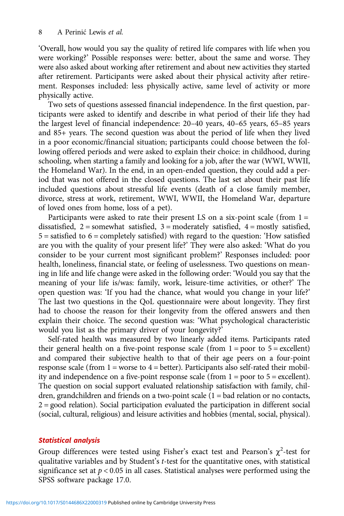'Overall, how would you say the quality of retired life compares with life when you were working?' Possible responses were: better, about the same and worse. They were also asked about working after retirement and about new activities they started after retirement. Participants were asked about their physical activity after retirement. Responses included: less physically active, same level of activity or more physically active.

Two sets of questions assessed financial independence. In the first question, participants were asked to identify and describe in what period of their life they had the largest level of financial independence: 20–40 years, 40–65 years, 65–85 years and 85+ years. The second question was about the period of life when they lived in a poor economic/financial situation; participants could choose between the following offered periods and were asked to explain their choice: in childhood, during schooling, when starting a family and looking for a job, after the war (WWI, WWII, the Homeland War). In the end, in an open-ended question, they could add a period that was not offered in the closed questions. The last set about their past life included questions about stressful life events (death of a close family member, divorce, stress at work, retirement, WWI, WWII, the Homeland War, departure of loved ones from home, loss of a pet).

Participants were asked to rate their present LS on a six-point scale (from  $1 =$ dissatisfied,  $2 =$  somewhat satisfied,  $3 =$  moderately satisfied,  $4 =$  mostly satisfied,  $5 =$  satisfied to  $6 =$  completely satisfied) with regard to the question: 'How satisfied are you with the quality of your present life?' They were also asked: 'What do you consider to be your current most significant problem?' Responses included: poor health, loneliness, financial state, or feeling of uselessness. Two questions on meaning in life and life change were asked in the following order: 'Would you say that the meaning of your life is/was: family, work, leisure-time activities, or other?' The open question was: 'If you had the chance, what would you change in your life?' The last two questions in the QoL questionnaire were about longevity. They first had to choose the reason for their longevity from the offered answers and then explain their choice. The second question was: 'What psychological characteristic would you list as the primary driver of your longevity?'

Self-rated health was measured by two linearly added items. Participants rated their general health on a five-point response scale (from  $1 = poor$  to  $5 = excellent$ ) and compared their subjective health to that of their age peers on a four-point response scale (from  $1 =$  worse to  $4 =$  better). Participants also self-rated their mobility and independence on a five-point response scale (from 1 = poor to 5 = excellent). The question on social support evaluated relationship satisfaction with family, children, grandchildren and friends on a two-point scale (1 = bad relation or no contacts, 2 = good relation). Social participation evaluated the participation in different social (social, cultural, religious) and leisure activities and hobbies (mental, social, physical).

# Statistical analysis

Group differences were tested using Fisher's exact test and Pearson's  $\chi^2$ -test for qualitative variables and by Student's t-test for the quantitative ones, with statistical significance set at  $p < 0.05$  in all cases. Statistical analyses were performed using the SPSS software package 17.0.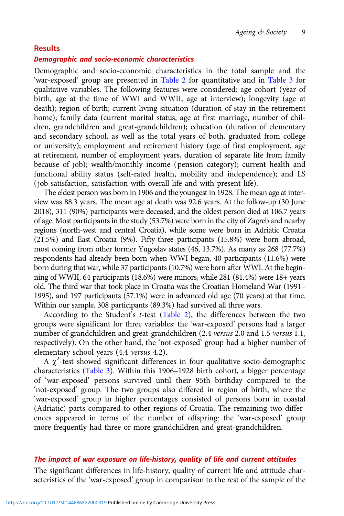#### Results

# Demographic and socio-economic characteristics

Demographic and socio-economic characteristics in the total sample and the 'war-exposed' group are presented in [Table 2](#page-9-0) for quantitative and in [Table 3](#page-10-0) for qualitative variables. The following features were considered: age cohort (year of birth, age at the time of WWI and WWII, age at interview); longevity (age at death); region of birth; current living situation (duration of stay in the retirement home); family data (current marital status, age at first marriage, number of children, grandchildren and great-grandchildren); education (duration of elementary and secondary school, as well as the total years of both, graduated from college or university); employment and retirement history (age of first employment, age at retirement, number of employment years, duration of separate life from family because of job); wealth/monthly income (pension category); current health and functional ability status (self-rated health, mobility and independence); and LS ( job satisfaction, satisfaction with overall life and with present life).

The eldest person was born in 1906 and the youngest in 1928. The mean age at interview was 88.3 years. The mean age at death was 92.6 years. At the follow-up (30 June 2018), 311 (90%) participants were deceased, and the oldest person died at 106.7 years of age. Most participants in the study (53.7%) were born in the city of Zagreb and nearby regions (north-west and central Croatia), while some were born in Adriatic Croatia (21.5%) and East Croatia (9%). Fifty-three participants (15.8%) were born abroad, most coming from other former Yugoslav states (46, 13.7%). As many as 268 (77.7%) respondents had already been born when WWI began, 40 participants (11.6%) were born during that war, while 37 participants (10.7%) were born after WWI. At the beginning of WWII, 64 participants (18.6%) were minors, while 281 (81.4%) were 18+ years old. The third war that took place in Croatia was the Croatian Homeland War (1991– 1995), and 197 participants (57.1%) were in advanced old age (70 years) at that time. Within our sample, 308 participants (89.3%) had survived all three wars.

According to the Student's  $t$ -test ([Table 2\)](#page-9-0), the differences between the two groups were significant for three variables: the 'war-exposed' persons had a larger number of grandchildren and great-grandchildren (2.4 versus 2.0 and 1.5 versus 1.1, respectively). On the other hand, the 'not-exposed' group had a higher number of elementary school years (4.4 versus 4.2).

A  $\chi^2$ -test showed significant differences in four qualitative socio-demographic characteristics ([Table 3\)](#page-10-0). Within this 1906–1928 birth cohort, a bigger percentage of 'war-exposed' persons survived until their 95th birthday compared to the 'not-exposed' group. The two groups also differed in region of birth, where the 'war-exposed' group in higher percentages consisted of persons born in coastal (Adriatic) parts compared to other regions of Croatia. The remaining two differences appeared in terms of the number of offspring: the 'war-exposed' group more frequently had three or more grandchildren and great-grandchildren.

## The impact of war exposure on life-history, quality of life and current attitudes

The significant differences in life-history, quality of current life and attitude characteristics of the 'war-exposed' group in comparison to the rest of the sample of the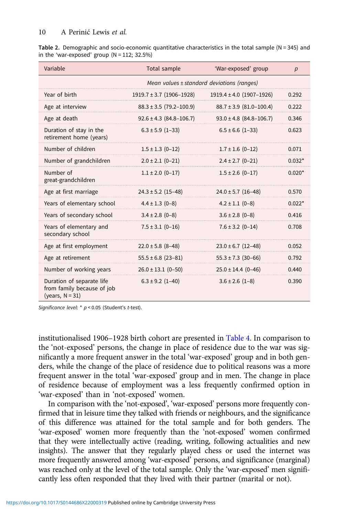<span id="page-9-0"></span>

| Table 2. Demographic and socio-economic quantitative characteristics in the total sample ( $N = 345$ ) and |  |  |  |  |
|------------------------------------------------------------------------------------------------------------|--|--|--|--|
| in the 'war-exposed' group $(N = 112; 32.5%)$                                                              |  |  |  |  |

| Variable                                                                      | Total sample                 | 'War-exposed' group                        | $\boldsymbol{D}$ |
|-------------------------------------------------------------------------------|------------------------------|--------------------------------------------|------------------|
|                                                                               |                              | Mean values ± standard deviations (ranges) |                  |
| Year of birth                                                                 | $1919.7 \pm 3.7$ (1906-1928) | $1919.4 \pm 4.0$ (1907-1926)               | 0.292            |
| Age at interview                                                              | $88.3 \pm 3.5$ (79.2-100.9)  | $88.7 \pm 3.9$ (81.0-100.4)                | 0.222            |
| Age at death                                                                  | $92.6 \pm 4.3$ (84.8-106.7)  | $93.0 \pm 4.8$ (84.8-106.7)                | 0.346            |
| Duration of stay in the<br>retirement home (years)                            | $6.3 \pm 5.9$ (1-33)         | $6.5 \pm 6.6$ (1-33)                       | 0.623            |
| Number of children                                                            | $1.5 \pm 1.3$ (0-12)         | $1.7 \pm 1.6$ (0-12)                       | 0.071            |
| Number of grandchildren                                                       | $2.0 \pm 2.1$ (0-21)         | $2.4 \pm 2.7$ (0-21)                       | $0.032*$         |
| Number of<br>great-grandchildren                                              | $1.1 \pm 2.0$ (0-17)         | $1.5 \pm 2.6$ (0-17)                       | $0.020*$         |
| Age at first marriage                                                         | $24.3 \pm 5.2$ (15-48)       | $24.0 \pm 5.7$ (16-48)                     | 0.570            |
| Years of elementary school                                                    | $4.4 \pm 1.3$ (0-8)          | $4.2 \pm 1.1$ (0-8)                        | $0.022*$         |
| Years of secondary school                                                     | $3.4 \pm 2.8$ (0-8)          | $3.6 \pm 2.8$ (0-8)                        | 0.416            |
| Years of elementary and<br>secondary school                                   | $7.5 \pm 3.1$ (0-16)         | $7.6 \pm 3.2$ (0-14)                       | 0.708            |
| Age at first employment                                                       | $22.0 \pm 5.8$ (8-48)        | $23.0 \pm 6.7$ (12-48)                     | 0.052            |
| Age at retirement                                                             | $55.5 \pm 6.8$ (23-81)       | $55.3 \pm 7.3$ (30-66)                     | 0.792            |
| Number of working years                                                       | $26.0 \pm 13.1$ (0-50)       | $25.0 \pm 14.4$ (0-46)                     | 0.440            |
| Duration of separate life<br>from family because of job<br>(years, $N = 31$ ) | $6.3 \pm 9.2$ (1-40)         | $3.6 \pm 2.6$ (1-8)                        | 0.390            |

Significance level: \* p < 0.05 (Student's t-test).

institutionalised 1906–1928 birth cohort are presented in [Table 4.](#page-13-0) In comparison to the 'not-exposed' persons, the change in place of residence due to the war was significantly a more frequent answer in the total 'war-exposed' group and in both genders, while the change of the place of residence due to political reasons was a more frequent answer in the total 'war-exposed' group and in men. The change in place of residence because of employment was a less frequently confirmed option in 'war-exposed' than in 'not-exposed' women.

In comparison with the 'not-exposed', 'war-exposed' persons more frequently confirmed that in leisure time they talked with friends or neighbours, and the significance of this difference was attained for the total sample and for both genders. The 'war-exposed' women more frequently than the 'not-exposed' women confirmed that they were intellectually active (reading, writing, following actualities and new insights). The answer that they regularly played chess or used the internet was more frequently answered among 'war-exposed' persons, and significance (marginal) was reached only at the level of the total sample. Only the 'war-exposed' men significantly less often responded that they lived with their partner (marital or not).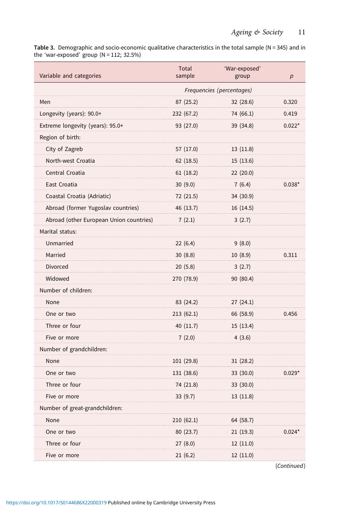<span id="page-10-0"></span>Table 3. Demographic and socio-economic qualitative characteristics in the total sample (N = 345) and in the 'war-exposed' group  $(N = 112; 32.5%)$ 

| Variable and categories                 | Total<br>sample           | 'War-exposed'<br>group | p        |
|-----------------------------------------|---------------------------|------------------------|----------|
|                                         | Frequencies (percentages) |                        |          |
| Men                                     | 87 (25.2)                 | 32 (28.6)              | 0.320    |
| Longevity (years): 90.0+                | 232 (67.2)                | 74 (66.1)              | 0.419    |
| Extreme longevity (years): 95.0+        | 93 (27.0)                 | 39 (34.8)              | $0.022*$ |
| Region of birth:                        |                           |                        |          |
| City of Zagreb                          | 57 (17.0)                 | 13(11.8)               |          |
| North-west Croatia                      | 62(18.5)                  | 15(13.6)               |          |
| Central Croatia                         | 61(18.2)                  | 22(20.0)               |          |
| East Croatia                            | 30(9.0)                   | 7(6.4)                 | $0.038*$ |
| Coastal Croatia (Adriatic)              | 72 (21.5)                 | 34 (30.9)              |          |
| Abroad (former Yugoslav countries)      | 46 (13.7)                 | 16 (14.5)              |          |
| Abroad (other European Union countries) | 7(2.1)                    | 3(2.7)                 |          |
| Marital status:                         |                           |                        |          |
| Unmarried                               | 22(6.4)                   | 9(8.0)                 |          |
| Married                                 | 30(8.8)                   | 10(8.9)                | 0.311    |
| <b>Divorced</b>                         | 20(5.8)                   | 3(2.7)                 |          |
| Widowed                                 | 270 (78.9)                | 90 (80.4)              |          |
| Number of children:                     |                           |                        |          |
| None                                    | 83 (24.2)                 | 27(24.1)               |          |
| One or two                              | 213(62.1)                 | 66 (58.9)              | 0.456    |
| Three or four                           | 40 (11.7)                 | 15(13.4)               |          |
| Five or more                            | 7(2.0)                    | 4(3.6)                 |          |
| Number of grandchildren:                |                           |                        |          |
| None                                    | 101 (29.8)                | 31(28.2)               |          |
| One or two                              | 131 (38.6)                | 33 (30.0)              | $0.029*$ |
| Three or four                           | 74 (21.8)                 | 33 (30.0)              |          |
| Five or more                            | 33(9.7)                   | 13(11.8)               |          |
| Number of great-grandchildren:          |                           |                        |          |
| None                                    | 210(62.1)                 | 64 (58.7)              |          |
| One or two                              | 80 (23.7)                 | 21(19.3)               | $0.024*$ |
| Three or four                           | 27(8.0)                   | 12 (11.0)              |          |
| Five or more                            | 21(6.2)                   | 12(11.0)               |          |

(Continued)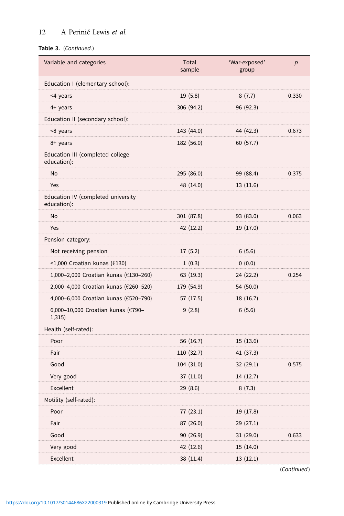# 12 A Perinić Lewis et al.

### Table 3. (Continued.)

| Variable and categories                           | Total<br>sample | 'War-exposed'<br>group | p     |
|---------------------------------------------------|-----------------|------------------------|-------|
| Education I (elementary school):                  |                 |                        |       |
| <4 years                                          | 19(5.8)         | 8(7.7)                 | 0.330 |
| 4+ years                                          | 306 (94.2)      | 96 (92.3)              |       |
| Education II (secondary school):                  |                 |                        |       |
| <8 years                                          | 143 (44.0)      | 44 (42.3)              | 0.673 |
| 8+ years                                          | 182 (56.0)      | 60 (57.7)              |       |
| Education III (completed college<br>education):   |                 |                        |       |
| No                                                | 295 (86.0)      | 99 (88.4)              | 0.375 |
| Yes                                               | 48 (14.0)       | 13(11.6)               |       |
| Education IV (completed university<br>education): |                 |                        |       |
| No                                                | 301 (87.8)      | 93 (83.0)              | 0.063 |
| Yes                                               | 42 (12.2)       | 19 (17.0)              |       |
| Pension category:                                 |                 |                        |       |
| Not receiving pension                             | 17(5.2)         | 6(5.6)                 |       |
| <1,000 Croatian kunas ( $£130$ )                  | 1(0.3)          | 0(0.0)                 |       |
| 1,000-2,000 Croatian kunas (€130-260)             | 63(19.3)        | 24 (22.2)              | 0.254 |
| 2,000-4,000 Croatian kunas (€260-520)             | 179 (54.9)      | 54 (50.0)              |       |
| 4,000-6,000 Croatian kunas (€520-790)             | 57 (17.5)       | 18 (16.7)              |       |
| 6,000-10,000 Croatian kunas (€790-<br>1,315)      | 9(2.8)          | 6(5.6)                 |       |
| Health (self-rated):                              |                 |                        |       |
| Poor                                              | 56 (16.7)       | 15(13.6)               |       |
| Fair                                              | 110 (32.7)      | 41 (37.3)              |       |
| Good                                              | 104 (31.0)      | 32(29.1)               | 0.575 |
| Very good                                         | 37(11.0)        | 14 (12.7)              |       |
| Excellent                                         | 29(8.6)         | 8(7.3)                 |       |
| Motility (self-rated):                            |                 |                        |       |
| Poor                                              | 77 (23.1)       | 19 (17.8)              |       |
| Fair                                              | 87(26.0)        | 29 (27.1)              |       |
| Good                                              | 90(26.9)        | 31 (29.0)              | 0.633 |
| Very good                                         | 42 (12.6)       | 15(14.0)               |       |
| Excellent                                         | 38 (11.4)       | 13(12.1)               |       |

(Continued)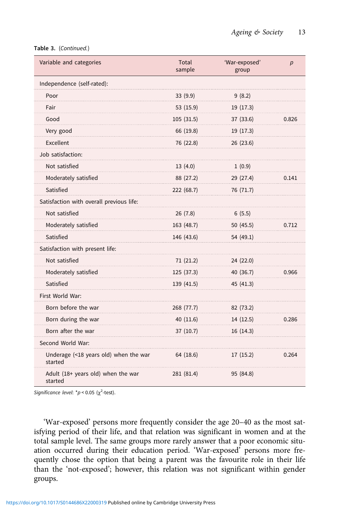|  | Table 3. (Continued.) |
|--|-----------------------|
|--|-----------------------|

| Variable and categories                          | Total<br>sample | 'War-exposed'<br>group | p     |
|--------------------------------------------------|-----------------|------------------------|-------|
| Independence (self-rated):                       |                 |                        |       |
| Poor                                             | 33 (9.9)        | 9(8.2)                 |       |
| Fair                                             | 53 (15.9)       | 19 (17.3)              |       |
| Good                                             | 105(31.5)       | 37 (33.6)              | 0.826 |
| Very good                                        | 66 (19.8)       | 19 (17.3)              |       |
| Excellent                                        | 76 (22.8)       | 26 (23.6)              |       |
| Job satisfaction:                                |                 |                        |       |
| Not satisfied                                    | 13(4.0)         | 1(0.9)                 |       |
| Moderately satisfied                             | 88 (27.2)       | 29 (27.4)              | 0.141 |
| Satisfied                                        | 222 (68.7)      | 76 (71.7)              |       |
| Satisfaction with overall previous life:         |                 |                        |       |
| Not satisfied                                    | 26(7.8)         | 6(5.5)                 |       |
| Moderately satisfied                             | 163 (48.7)      | 50 (45.5)              | 0.712 |
| Satisfied                                        | 146 (43.6)      | 54 (49.1)              |       |
| Satisfaction with present life:                  |                 |                        |       |
| Not satisfied                                    | 71(21.2)        | 24 (22.0)              |       |
| Moderately satisfied                             | 125 (37.3)      | 40 (36.7)              | 0.966 |
| Satisfied                                        | 139 (41.5)      | 45 (41.3)              |       |
| First World War:                                 |                 |                        |       |
| Born before the war                              | 268 (77.7)      | 82 (73.2)              |       |
| Born during the war                              | 40 (11.6)       | 14 (12.5)              | 0.286 |
| Born after the war                               | 37(10.7)        | 16 (14.3)              |       |
| Second World War:                                |                 |                        |       |
| Underage (<18 years old) when the war<br>started | 64 (18.6)       | 17(15.2)               | 0.264 |
| Adult (18+ years old) when the war<br>started    | 281 (81.4)      | 95 (84.8)              |       |

Significance level: \* $p$  < 0.05 ( $\chi^2$ -test).

'War-exposed' persons more frequently consider the age 20–40 as the most satisfying period of their life, and that relation was significant in women and at the total sample level. The same groups more rarely answer that a poor economic situation occurred during their education period. 'War-exposed' persons more frequently chose the option that being a parent was the favourite role in their life than the 'not-exposed'; however, this relation was not significant within gender groups.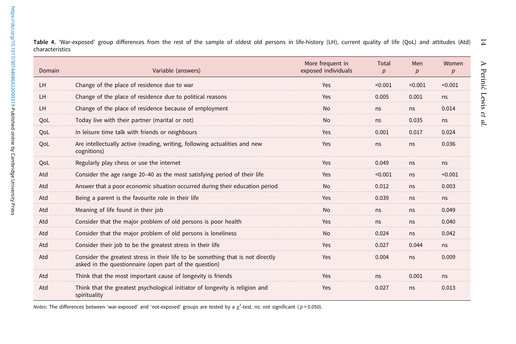| Domain | Variable (answers)                                                                                                                        | More frequent in<br>exposed individuals | Total<br>p | Men<br>p | Women<br>p |
|--------|-------------------------------------------------------------------------------------------------------------------------------------------|-----------------------------------------|------------|----------|------------|
| LH     | Change of the place of residence due to war                                                                                               | Yes                                     | < 0.001    | < 0.001  | < 0.001    |
| LH     | Change of the place of residence due to political reasons                                                                                 | Yes                                     | 0.005      | 0.001    | ns         |
| LH     | Change of the place of residence because of employment                                                                                    | <b>No</b>                               | ns         | ns       | 0.014      |
| OoL    | Today live with their partner (marital or not)                                                                                            | <b>No</b>                               | ns         | 0.035    | ns         |
| QoL    | In leisure time talk with friends or neighbours                                                                                           | Yes                                     | 0.001      | 0.017    | 0.024      |
| QoL    | Are intellectually active (reading, writing, following actualities and new<br>cognitions)                                                 | Yes                                     | ns         | ns       | 0.036      |
| QoL    | Regularly play chess or use the internet                                                                                                  | Yes                                     | 0.049      | ns       | ns         |
| Atd    | Consider the age range 20-40 as the most satisfying period of their life                                                                  | Yes                                     | < 0.001    | ns       | < 0.001    |
| Atd    | Answer that a poor economic situation occurred during their education period                                                              | <b>No</b>                               | 0.012      | ns       | 0.003      |
| Atd    | Being a parent is the favourite role in their life                                                                                        | Yes                                     | 0.039      | ns       | ns         |
| Atd    | Meaning of life found in their job                                                                                                        | <b>No</b>                               | ns         | ns       | 0.049      |
| Atd    | Consider that the major problem of old persons is poor health                                                                             | Yes                                     | ns         | ns       | 0.040      |
| Atd    | Consider that the major problem of old persons is loneliness                                                                              | <b>No</b>                               | 0.024      | ns       | 0.042      |
| Atd    | Consider their job to be the greatest stress in their life                                                                                | Yes                                     | 0.027      | 0.044    | ns         |
| Atd    | Consider the greatest stress in their life to be something that is not directly<br>asked in the questionnaire (open part of the question) | Yes                                     | 0.004      | ns       | 0.009      |
| Atd    | Think that the most important cause of longevity is friends                                                                               | Yes                                     | ns         | 0.001    | ns         |
| Atd    | Think that the greatest psychological initiator of longevity is religion and<br>spirituality                                              | Yes                                     | 0.027      | ns.      | 0.013      |

<span id="page-13-0"></span> $\overline{1}$ Table 4. 'War-exposed' group differences from the rest of the sample of oldest old persons in life-history (LH), current quality of life (QoL) and attitudes (Atd) characteristics

Notes: The differences between 'war-exposed' and 'not-exposed' groups are tested by a  $\chi^2$ -test. ns: not significant ( $p > 0.050$ )

et al.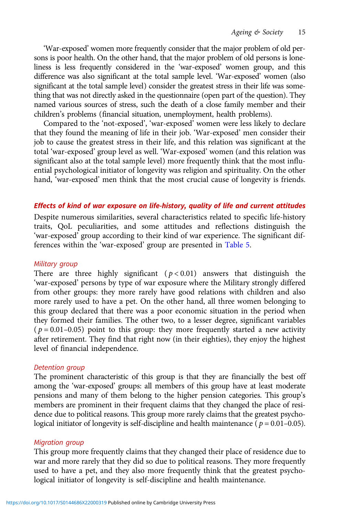'War-exposed' women more frequently consider that the major problem of old persons is poor health. On the other hand, that the major problem of old persons is loneliness is less frequently considered in the 'war-exposed' women group, and this difference was also significant at the total sample level. 'War-exposed' women (also significant at the total sample level) consider the greatest stress in their life was something that was not directly asked in the questionnaire (open part of the question). They named various sources of stress, such the death of a close family member and their children's problems (financial situation, unemployment, health problems).

Compared to the 'not-exposed', 'war-exposed' women were less likely to declare that they found the meaning of life in their job. 'War-exposed' men consider their job to cause the greatest stress in their life, and this relation was significant at the total 'war-exposed' group level as well. 'War-exposed' women (and this relation was significant also at the total sample level) more frequently think that the most influential psychological initiator of longevity was religion and spirituality. On the other hand, 'war-exposed' men think that the most crucial cause of longevity is friends.

## Effects of kind of war exposure on life-history, quality of life and current attitudes

Despite numerous similarities, several characteristics related to specific life-history traits, QoL peculiarities, and some attitudes and reflections distinguish the 'war-exposed' group according to their kind of war experience. The significant differences within the 'war-exposed' group are presented in [Table 5.](#page-15-0)

### Military group

There are three highly significant ( $p < 0.01$ ) answers that distinguish the 'war-exposed' persons by type of war exposure where the Military strongly differed from other groups: they more rarely have good relations with children and also more rarely used to have a pet. On the other hand, all three women belonging to this group declared that there was a poor economic situation in the period when they formed their families. The other two, to a lesser degree, significant variables ( $p = 0.01 - 0.05$ ) point to this group: they more frequently started a new activity after retirement. They find that right now (in their eighties), they enjoy the highest level of financial independence.

### Detention group

The prominent characteristic of this group is that they are financially the best off among the 'war-exposed' groups: all members of this group have at least moderate pensions and many of them belong to the higher pension categories. This group's members are prominent in their frequent claims that they changed the place of residence due to political reasons. This group more rarely claims that the greatest psychological initiator of longevity is self-discipline and health maintenance ( $p = 0.01 - 0.05$ ).

# Migration group

This group more frequently claims that they changed their place of residence due to war and more rarely that they did so due to political reasons. They more frequently used to have a pet, and they also more frequently think that the greatest psychological initiator of longevity is self-discipline and health maintenance.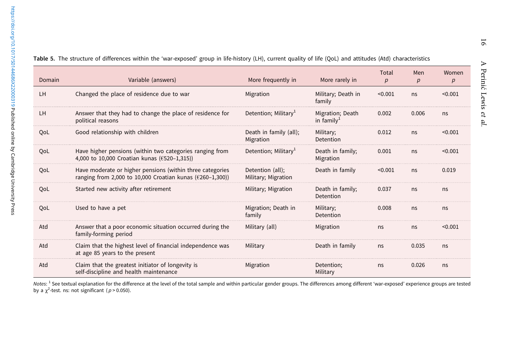| Domain    | Variable (answers)                                                                                                                | More frequently in                      | More rarely in                    | Total<br>p | Men<br>p | Women<br>p |
|-----------|-----------------------------------------------------------------------------------------------------------------------------------|-----------------------------------------|-----------------------------------|------------|----------|------------|
| LH        | Changed the place of residence due to war                                                                                         | Migration                               | Military; Death in<br>family      | < 0.001    | ns       | < 0.001    |
| <b>LH</b> | Answer that they had to change the place of residence for<br>political reasons                                                    | Detention; Military <sup>1</sup>        | Migration; Death<br>in family $1$ | 0.002      | 0.006    | ns         |
| OoL       | Good relationship with children                                                                                                   | Death in family (all);<br>Migration     | Military;<br>Detention            | 0.012      | ns       | < 0.001    |
| OoL       | Have higher pensions (within two categories ranging from<br>4,000 to 10,000 Croatian kunas ( $(520-1,315)$ )                      | Detention; Military <sup>1</sup>        | Death in family;<br>Migration     | 0.001      | ns       | < 0.001    |
| QoL       | Have moderate or higher pensions (within three categories<br>ranging from 2,000 to 10,000 Croatian kunas ( $\epsilon$ 260-1,300)) | Detention (all);<br>Military; Migration | Death in family                   | < 0.001    | ns       | 0.019      |
| QoL       | Started new activity after retirement                                                                                             | Military; Migration                     | Death in family;<br>Detention     | 0.037      | ns       | ns         |
| OoL       | Used to have a pet                                                                                                                | Migration; Death in<br>family           | Military;<br>Detention            | 0.008      | ns       | ns         |
| Atd       | Answer that a poor economic situation occurred during the<br>family-forming period                                                | Military (all)                          | Migration                         | ns         | ns       | < 0.001    |
| Atd       | Claim that the highest level of financial independence was<br>at age 85 years to the present                                      | Military                                | Death in family                   | ns         | 0.035    | ns         |
| Atd       | Claim that the greatest initiator of longevity is<br>self-discipline and health maintenance                                       | Migration                               | Detention;<br>Military            | ns         | 0.026    | ns         |

<span id="page-15-0"></span>Table 5. The structure of differences within the 'war-exposed' group in life-history (LH), current quality of life (QoL) and attitudes (Atd) characteristics

Notes: <sup>1</sup> See textual explanation for the difference at the level of the total sample and within particular gender groups. The differences among different 'war-exposed' experience groups are testec<br>by a x<sup>2</sup>-test. ns: not

ć Lewis

et al.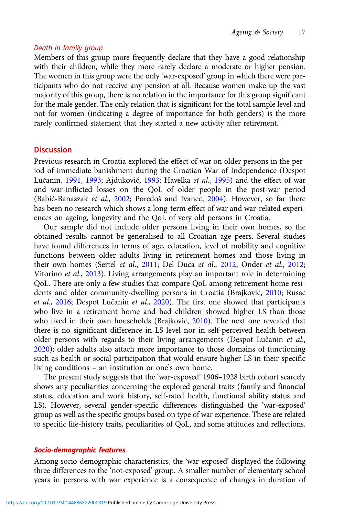#### Death in family group

Members of this group more frequently declare that they have a good relationship with their children, while they more rarely declare a moderate or higher pension. The women in this group were the only 'war-exposed' group in which there were participants who do not receive any pension at all. Because women make up the vast majority of this group, there is no relation in the importance for this group significant for the male gender. The only relation that is significant for the total sample level and not for women (indicating a degree of importance for both genders) is the more rarely confirmed statement that they started a new activity after retirement.

# **Discussion**

Previous research in Croatia explored the effect of war on older persons in the period of immediate banishment during the Croatian War of Independence (Despot Lučanin, [1991](#page-24-0), [1993;](#page-24-0) Ajduković, 1993; Havelka et al., [1995](#page-25-0)) and the effect of war and war-inflicted losses on the QoL of older people in the post-war period (Babić-Banaszak et al., [2002](#page-24-0); Poredoš and Ivanec, [2004\)](#page-26-0). However, so far there has been no research which shows a long-term effect of war and war-related experiences on ageing, longevity and the QoL of very old persons in Croatia.

Our sample did not include older persons living in their own homes, so the obtained results cannot be generalised to all Croatian age peers. Several studies have found differences in terms of age, education, level of mobility and cognitive functions between older adults living in retirement homes and those living in their own homes (Sertel et al., [2011](#page-27-0); Del Duca et al., [2012;](#page-24-0) Onder et al., [2012](#page-26-0); Vitorino et al., [2013](#page-27-0)). Living arrangements play an important role in determining QoL. There are only a few studies that compare QoL among retirement home residents and older community-dwelling persons in Croatia (Brajković, [2010](#page-24-0); Rusac et al., [2016](#page-26-0); Despot Lučanin et al., [2020\)](#page-25-0). The first one showed that participants who live in a retirement home and had children showed higher LS than those who lived in their own households (Brajković, [2010](#page-24-0)). The next one revealed that there is no significant difference in LS level nor in self-perceived health between older persons with regards to their living arrangements (Despot Lučanin et al., [2020](#page-25-0)); older adults also attach more importance to those domains of functioning such as health or social participation that would ensure higher LS in their specific living conditions – an institution or one's own home.

The present study suggests that the 'war-exposed' 1906–1928 birth cohort scarcely shows any peculiarities concerning the explored general traits (family and financial status, education and work history, self-rated health, functional ability status and LS). However, several gender-specific differences distinguished the 'war-exposed' group as well as the specific groups based on type of war experience. These are related to specific life-history traits, peculiarities of QoL, and some attitudes and reflections.

#### Socio-demographic features

Among socio-demographic characteristics, the 'war-exposed' displayed the following three differences to the 'not-exposed' group. A smaller number of elementary school years in persons with war experience is a consequence of changes in duration of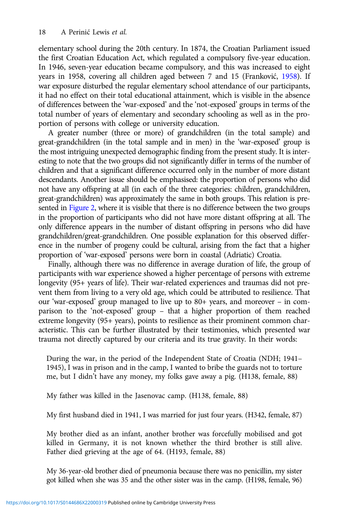elementary school during the 20th century. In 1874, the Croatian Parliament issued the first Croatian Education Act, which regulated a compulsory five-year education. In 1946, seven-year education became compulsory, and this was increased to eight years in 1958, covering all children aged between 7 and 15 (Franković, [1958](#page-25-0)). If war exposure disturbed the regular elementary school attendance of our participants, it had no effect on their total educational attainment, which is visible in the absence of differences between the 'war-exposed' and the 'not-exposed' groups in terms of the total number of years of elementary and secondary schooling as well as in the proportion of persons with college or university education.

A greater number (three or more) of grandchildren (in the total sample) and great-grandchildren (in the total sample and in men) in the 'war-exposed' group is the most intriguing unexpected demographic finding from the present study. It is interesting to note that the two groups did not significantly differ in terms of the number of children and that a significant difference occurred only in the number of more distant descendants. Another issue should be emphasised: the proportion of persons who did not have any offspring at all (in each of the three categories: children, grandchildren, great-grandchildren) was approximately the same in both groups. This relation is presented in [Figure 2](#page-18-0), where it is visible that there is no difference between the two groups in the proportion of participants who did not have more distant offspring at all. The only difference appears in the number of distant offspring in persons who did have grandchildren/great-grandchildren. One possible explanation for this observed difference in the number of progeny could be cultural, arising from the fact that a higher proportion of 'war-exposed' persons were born in coastal (Adriatic) Croatia.

Finally, although there was no difference in average duration of life, the group of participants with war experience showed a higher percentage of persons with extreme longevity (95+ years of life). Their war-related experiences and traumas did not prevent them from living to a very old age, which could be attributed to resilience. That our 'war-exposed' group managed to live up to 80+ years, and moreover – in comparison to the 'not-exposed' group – that a higher proportion of them reached extreme longevity (95+ years), points to resilience as their prominent common characteristic. This can be further illustrated by their testimonies, which presented war trauma not directly captured by our criteria and its true gravity. In their words:

During the war, in the period of the Independent State of Croatia (NDH; 1941– 1945), I was in prison and in the camp, I wanted to bribe the guards not to torture me, but I didn't have any money, my folks gave away a pig. (H138, female, 88)

My father was killed in the Jasenovac camp. (H138, female, 88)

My first husband died in 1941, I was married for just four years. (H342, female, 87)

My brother died as an infant, another brother was forcefully mobilised and got killed in Germany, it is not known whether the third brother is still alive. Father died grieving at the age of 64. (H193, female, 88)

My 36-year-old brother died of pneumonia because there was no penicillin, my sister got killed when she was 35 and the other sister was in the camp. (H198, female, 96)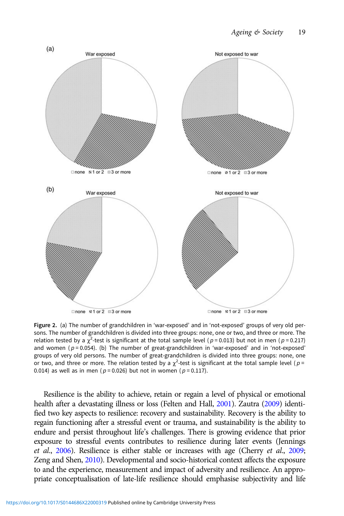<span id="page-18-0"></span>

Figure 2. (a) The number of grandchildren in 'war-exposed' and in 'not-exposed' groups of very old persons. The number of grandchildren is divided into three groups: none, one or two, and three or more. The relation tested by a  $\chi^2$ -test is significant at the total sample level (p = 0.013) but not in men (p = 0.217) and women ( $p = 0.054$ ). (b) The number of great-grandchildren in 'war-exposed' and in 'not-exposed' groups of very old persons. The number of great-grandchildren is divided into three groups: none, one or two, and three or more. The relation tested by a  $\chi^2$ -test is significant at the total sample level ( $p =$ 0.014) as well as in men ( $p = 0.026$ ) but not in women ( $p = 0.117$ ).

Resilience is the ability to achieve, retain or regain a level of physical or emotional health after a devastating illness or loss (Felten and Hall, [2001](#page-25-0)). Zautra [\(2009](#page-28-0)) identified two key aspects to resilience: recovery and sustainability. Recovery is the ability to regain functioning after a stressful event or trauma, and sustainability is the ability to endure and persist throughout life's challenges. There is growing evidence that prior exposure to stressful events contributes to resilience during later events (Jennings et al., [2006\)](#page-25-0). Resilience is either stable or increases with age (Cherry et al., [2009](#page-24-0); Zeng and Shen, [2010](#page-28-0)). Developmental and socio-historical context affects the exposure to and the experience, measurement and impact of adversity and resilience. An appropriate conceptualisation of late-life resilience should emphasise subjectivity and life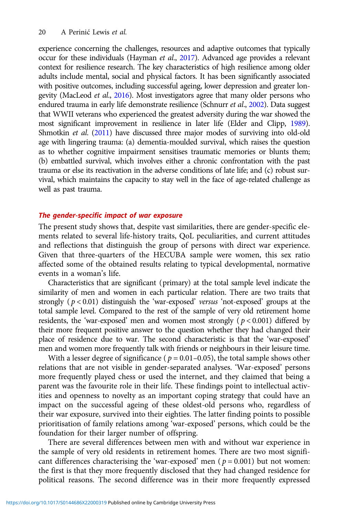experience concerning the challenges, resources and adaptive outcomes that typically occur for these individuals (Hayman et al., [2017\)](#page-25-0). Advanced age provides a relevant context for resilience research. The key characteristics of high resilience among older adults include mental, social and physical factors. It has been significantly associated with positive outcomes, including successful ageing, lower depression and greater longevity (MacLeod et al., [2016\)](#page-26-0). Most investigators agree that many older persons who endured trauma in early life demonstrate resilience (Schnurr et al., [2002\)](#page-27-0). Data suggest that WWII veterans who experienced the greatest adversity during the war showed the most significant improvement in resilience in later life (Elder and Clipp, [1989\)](#page-25-0). Shmotkin et al. [\(2011](#page-27-0)) have discussed three major modes of surviving into old-old age with lingering trauma: (a) dementia-moulded survival, which raises the question as to whether cognitive impairment sensitises traumatic memories or blunts them; (b) embattled survival, which involves either a chronic confrontation with the past trauma or else its reactivation in the adverse conditions of late life; and (c) robust survival, which maintains the capacity to stay well in the face of age-related challenge as well as past trauma.

## The gender-specific impact of war exposure

The present study shows that, despite vast similarities, there are gender-specific elements related to several life-history traits, QoL peculiarities, and current attitudes and reflections that distinguish the group of persons with direct war experience. Given that three-quarters of the HECUBA sample were women, this sex ratio affected some of the obtained results relating to typical developmental, normative events in a woman's life.

Characteristics that are significant (primary) at the total sample level indicate the similarity of men and women in each particular relation. There are two traits that strongly  $(p < 0.01)$  distinguish the 'war-exposed' versus 'not-exposed' groups at the total sample level. Compared to the rest of the sample of very old retirement home residents, the 'war-exposed' men and women most strongly ( $p < 0.001$ ) differed by their more frequent positive answer to the question whether they had changed their place of residence due to war. The second characteristic is that the 'war-exposed' men and women more frequently talk with friends or neighbours in their leisure time.

With a lesser degree of significance ( $p = 0.01-0.05$ ), the total sample shows other relations that are not visible in gender-separated analyses. 'War-exposed' persons more frequently played chess or used the internet, and they claimed that being a parent was the favourite role in their life. These findings point to intellectual activities and openness to novelty as an important coping strategy that could have an impact on the successful ageing of these oldest-old persons who, regardless of their war exposure, survived into their eighties. The latter finding points to possible prioritisation of family relations among 'war-exposed' persons, which could be the foundation for their larger number of offspring.

There are several differences between men with and without war experience in the sample of very old residents in retirement homes. There are two most significant differences characterising the 'war-exposed' men ( $p = 0.001$ ) but not women: the first is that they more frequently disclosed that they had changed residence for political reasons. The second difference was in their more frequently expressed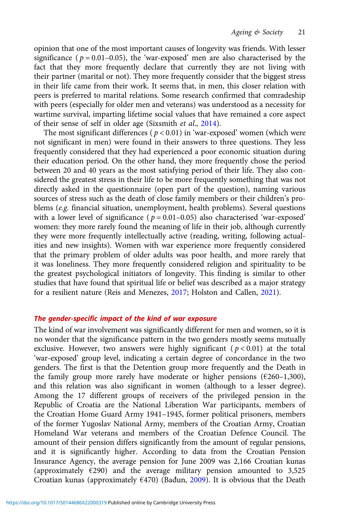opinion that one of the most important causes of longevity was friends. With lesser significance ( $p = 0.01 - 0.05$ ), the 'war-exposed' men are also characterised by the fact that they more frequently declare that currently they are not living with their partner (marital or not). They more frequently consider that the biggest stress in their life came from their work. It seems that, in men, this closer relation with peers is preferred to marital relations. Some research confirmed that comradeship with peers (especially for older men and veterans) was understood as a necessity for wartime survival, imparting lifetime social values that have remained a core aspect of their sense of self in older age (Sixsmith et al., [2014](#page-27-0)).

The most significant differences ( $p < 0.01$ ) in 'war-exposed' women (which were not significant in men) were found in their answers to three questions. They less frequently considered that they had experienced a poor economic situation during their education period. On the other hand, they more frequently chose the period between 20 and 40 years as the most satisfying period of their life. They also considered the greatest stress in their life to be more frequently something that was not directly asked in the questionnaire (open part of the question), naming various sources of stress such as the death of close family members or their children's problems (e.g. financial situation, unemployment, health problems). Several questions with a lower level of significance ( $p = 0.01 - 0.05$ ) also characterised 'war-exposed' women: they more rarely found the meaning of life in their job, although currently they were more frequently intellectually active (reading, writing, following actualities and new insights). Women with war experience more frequently considered that the primary problem of older adults was poor health, and more rarely that it was loneliness. They more frequently considered religion and spirituality to be the greatest psychological initiators of longevity. This finding is similar to other studies that have found that spiritual life or belief was described as a major strategy for a resilient nature (Reis and Menezes, [2017](#page-26-0); Holston and Callen, [2021](#page-25-0)).

### The gender-specific impact of the kind of war exposure

The kind of war involvement was significantly different for men and women, so it is no wonder that the significance pattern in the two genders mostly seems mutually exclusive. However, two answers were highly significant ( $p < 0.01$ ) at the total 'war-exposed' group level, indicating a certain degree of concordance in the two genders. The first is that the Detention group more frequently and the Death in the family group more rarely have moderate or higher pensions ( $\epsilon$ 260–1,300), and this relation was also significant in women (although to a lesser degree). Among the 17 different groups of receivers of the privileged pension in the Republic of Croatia are the National Liberation War participants, members of the Croatian Home Guard Army 1941–1945, former political prisoners, members of the former Yugoslav National Army, members of the Croatian Army, Croatian Homeland War veterans and members of the Croatian Defence Council. The amount of their pension differs significantly from the amount of regular pensions, and it is significantly higher. According to data from the Croatian Pension Insurance Agency, the average pension for June 2009 was 2,166 Croatian kunas (approximately  $\epsilon$ 290) and the average military pension amounted to 3,525 Croatian kunas (approximately  $E(470)$  (Bađun, [2009\)](#page-24-0). It is obvious that the Death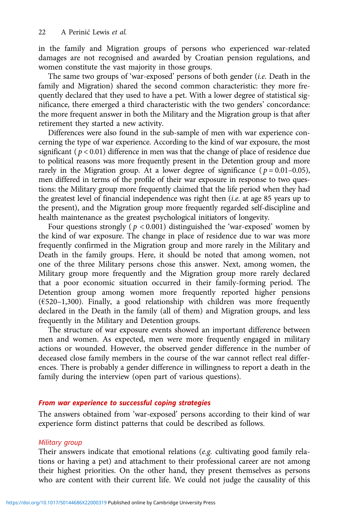in the family and Migration groups of persons who experienced war-related damages are not recognised and awarded by Croatian pension regulations, and women constitute the vast majority in those groups.

The same two groups of 'war-exposed' persons of both gender (i.e. Death in the family and Migration) shared the second common characteristic: they more frequently declared that they used to have a pet. With a lower degree of statistical significance, there emerged a third characteristic with the two genders' concordance: the more frequent answer in both the Military and the Migration group is that after retirement they started a new activity.

Differences were also found in the sub-sample of men with war experience concerning the type of war experience. According to the kind of war exposure, the most significant ( $p < 0.01$ ) difference in men was that the change of place of residence due to political reasons was more frequently present in the Detention group and more rarely in the Migration group. At a lower degree of significance ( $p = 0.01 - 0.05$ ), men differed in terms of the profile of their war exposure in response to two questions: the Military group more frequently claimed that the life period when they had the greatest level of financial independence was right then (i.e. at age 85 years up to the present), and the Migration group more frequently regarded self-discipline and health maintenance as the greatest psychological initiators of longevity.

Four questions strongly ( $p < 0.001$ ) distinguished the 'war-exposed' women by the kind of war exposure. The change in place of residence due to war was more frequently confirmed in the Migration group and more rarely in the Military and Death in the family groups. Here, it should be noted that among women, not one of the three Military persons chose this answer. Next, among women, the Military group more frequently and the Migration group more rarely declared that a poor economic situation occurred in their family-forming period. The Detention group among women more frequently reported higher pensions ( $E$ 520–1,300). Finally, a good relationship with children was more frequently declared in the Death in the family (all of them) and Migration groups, and less frequently in the Military and Detention groups.

The structure of war exposure events showed an important difference between men and women. As expected, men were more frequently engaged in military actions or wounded. However, the observed gender difference in the number of deceased close family members in the course of the war cannot reflect real differences. There is probably a gender difference in willingness to report a death in the family during the interview (open part of various questions).

### From war experience to successful coping strategies

The answers obtained from 'war-exposed' persons according to their kind of war experience form distinct patterns that could be described as follows.

#### Military group

Their answers indicate that emotional relations (e.g. cultivating good family relations or having a pet) and attachment to their professional career are not among their highest priorities. On the other hand, they present themselves as persons who are content with their current life. We could not judge the causality of this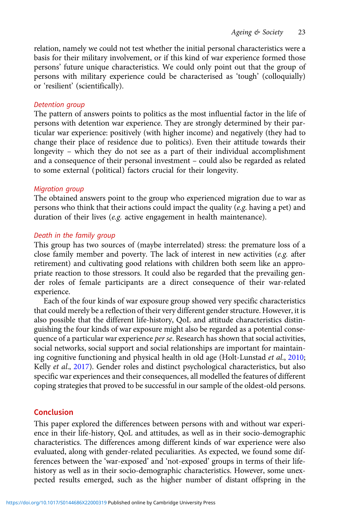relation, namely we could not test whether the initial personal characteristics were a basis for their military involvement, or if this kind of war experience formed those persons' future unique characteristics. We could only point out that the group of persons with military experience could be characterised as 'tough' (colloquially) or 'resilient' (scientifically).

# Detention group

The pattern of answers points to politics as the most influential factor in the life of persons with detention war experience. They are strongly determined by their particular war experience: positively (with higher income) and negatively (they had to change their place of residence due to politics). Even their attitude towards their longevity – which they do not see as a part of their individual accomplishment and a consequence of their personal investment – could also be regarded as related to some external (political) factors crucial for their longevity.

## Migration group

The obtained answers point to the group who experienced migration due to war as persons who think that their actions could impact the quality (e.g. having a pet) and duration of their lives (e.g. active engagement in health maintenance).

## Death in the family group

This group has two sources of (maybe interrelated) stress: the premature loss of a close family member and poverty. The lack of interest in new activities (e.g. after retirement) and cultivating good relations with children both seem like an appropriate reaction to those stressors. It could also be regarded that the prevailing gender roles of female participants are a direct consequence of their war-related experience.

Each of the four kinds of war exposure group showed very specific characteristics that could merely be a reflection of their very different gender structure. However, it is also possible that the different life-history, QoL and attitude characteristics distinguishing the four kinds of war exposure might also be regarded as a potential consequence of a particular war experience per se. Research has shown that social activities, social networks, social support and social relationships are important for maintaining cognitive functioning and physical health in old age (Holt-Lunstad et al., [2010](#page-25-0); Kelly et al., [2017\)](#page-25-0). Gender roles and distinct psychological characteristics, but also specific war experiences and their consequences, all modelled the features of different coping strategies that proved to be successful in our sample of the oldest-old persons.

# Conclusion

This paper explored the differences between persons with and without war experience in their life-history, QoL and attitudes, as well as in their socio-demographic characteristics. The differences among different kinds of war experience were also evaluated, along with gender-related peculiarities. As expected, we found some differences between the 'war-exposed' and 'not-exposed' groups in terms of their lifehistory as well as in their socio-demographic characteristics. However, some unexpected results emerged, such as the higher number of distant offspring in the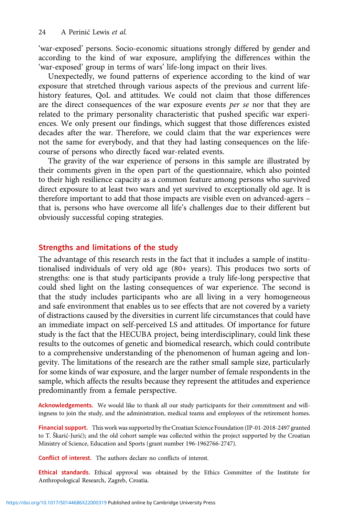'war-exposed' persons. Socio-economic situations strongly differed by gender and according to the kind of war exposure, amplifying the differences within the 'war-exposed' group in terms of wars' life-long impact on their lives.

Unexpectedly, we found patterns of experience according to the kind of war exposure that stretched through various aspects of the previous and current lifehistory features, QoL and attitudes. We could not claim that those differences are the direct consequences of the war exposure events per se nor that they are related to the primary personality characteristic that pushed specific war experiences. We only present our findings, which suggest that those differences existed decades after the war. Therefore, we could claim that the war experiences were not the same for everybody, and that they had lasting consequences on the lifecourse of persons who directly faced war-related events.

The gravity of the war experience of persons in this sample are illustrated by their comments given in the open part of the questionnaire, which also pointed to their high resilience capacity as a common feature among persons who survived direct exposure to at least two wars and yet survived to exceptionally old age. It is therefore important to add that those impacts are visible even on advanced-agers – that is, persons who have overcome all life's challenges due to their different but obviously successful coping strategies.

# Strengths and limitations of the study

The advantage of this research rests in the fact that it includes a sample of institutionalised individuals of very old age (80+ years). This produces two sorts of strengths: one is that study participants provide a truly life-long perspective that could shed light on the lasting consequences of war experience. The second is that the study includes participants who are all living in a very homogeneous and safe environment that enables us to see effects that are not covered by a variety of distractions caused by the diversities in current life circumstances that could have an immediate impact on self-perceived LS and attitudes. Of importance for future study is the fact that the HECUBA project, being interdisciplinary, could link these results to the outcomes of genetic and biomedical research, which could contribute to a comprehensive understanding of the phenomenon of human ageing and longevity. The limitations of the research are the rather small sample size, particularly for some kinds of war exposure, and the larger number of female respondents in the sample, which affects the results because they represent the attitudes and experience predominantly from a female perspective.

Acknowledgements. We would like to thank all our study participants for their commitment and willingness to join the study, and the administration, medical teams and employees of the retirement homes.

Financial support. This work was supported by the Croatian Science Foundation (IP-01-2018-2497 granted to T. Škarić-Jurić); and the old cohort sample was collected within the project supported by the Croatian Ministry of Science, Education and Sports (grant number 196-1962766-2747).

Conflict of interest. The authors declare no conflicts of interest.

Ethical standards. Ethical approval was obtained by the Ethics Committee of the Institute for Anthropological Research, Zagreb, Croatia.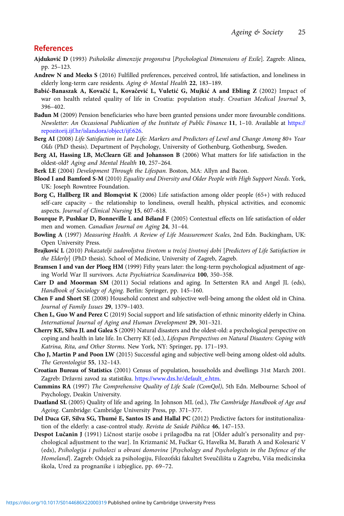# <span id="page-24-0"></span>References

- Ajduković D (1993) Psihološke dimenzije progonstva [Psychological Dimensions of Exile]. Zagreb: Alinea, pp. 25–123.
- Andrew N and Meeks S (2016) Fulfilled preferences, perceived control, life satisfaction, and loneliness in elderly long-term care residents. Aging & Mental Health 22, 183-189.
- Babić-Banaszak A, Kovačić L, Kovačević L, Vuletić G, Mujkić A and Ebling Z (2002) Impact of war on health related quality of life in Croatia: population study. Croatian Medical Journal 3, 396–402.
- Bađun M (2009) Pension beneficiaries who have been granted pensions under more favourable conditions. Newsletter: An Occasional Publication of the Institute of Public Finance 11, 1–10. Available at [https://](https://repozitorij.ijf.hr/islandora/object/ijf:626) [repozitorij.ijf.hr/islandora/object/ijf:626](https://repozitorij.ijf.hr/islandora/object/ijf:626).
- Berg AI (2008) Life Satisfaction in Late Life: Markers and Predictors of Level and Change Among 80+ Year Olds (PhD thesis). Department of Psychology, University of Gothenburg, Gothenburg, Sweden.
- Berg AI, Hassing LB, McClearn GE and Johansson B (2006) What matters for life satisfaction in the oldest-old? Aging and Mental Health 10, 257–264.
- Berk LE (2004) Development Through the Lifespan. Boston, MA: Allyn and Bacon.
- Blood I and Bamford S-M (2010) Equality and Diversity and Older People with High Support Needs. York, UK: Joseph Rowntree Foundation.
- Borg C, Hallberg IR and Blomqvist K (2006) Life satisfaction among older people (65+) with reduced self-care capacity – the relationship to loneliness, overall health, physical activities, and economic aspects. Journal of Clinical Nursing 15, 607–618.
- Bourque P, Pushkar D, Bonneville L and Béland F (2005) Contextual effects on life satisfaction of older men and women. Canadian Journal on Aging 24, 31–44.
- Bowling A (1997) Measuring Health. A Review of Life Measurement Scales, 2nd Edn. Buckingham, UK: Open University Press.
- Brajković L (2010) Pokazatelji zadovoljstva životom u trećoj životnoj dobi [Predictors of Life Satisfaction in the Elderly] (PhD thesis). School of Medicine, University of Zagreb, Zagreb.
- Bramsen I and van der Ploeg HM (1999) Fifty years later: the long-term psychological adjustment of ageing World War II survivors. Acta Psychiatrica Scandinavica 100, 350–358.
- Carr D and Moorman SM (2011) Social relations and aging. In Settersten RA and Angel JL (eds), Handbook of Sociology of Aging. Berlin: Springer, pp. 145–160.
- Chen F and Short SE (2008) Household context and subjective well-being among the oldest old in China. Journal of Family Issues 29, 1379–1403.
- Chen L, Guo W and Perez C (2019) Social support and life satisfaction of ethnic minority elderly in China. International Journal of Aging and Human Development 29, 301–321.
- Cherry KE, Silva JL and Galea S (2009) Natural disasters and the oldest-old: a psychological perspective on coping and health in late life. In Cherry KE (ed.), Lifespan Perspectives on Natural Disasters: Coping with Katrina, Rita, and Other Storms. New York, NY: Springer, pp. 171–193.
- Cho J, Martin P and Poon LW (2015) Successful aging and subjective well-being among oldest-old adults. The Gerontologist 55, 132–143.
- Croatian Bureau of Statistics (2001) Census of population, households and dwellings 31st March 2001. Zagreb: Državni zavod za statistiku. [https://www.dzs.hr/default\\_e.htm.](https://www.dzs.hr/default_e.htm)
- Cummins RA (1997) The Comprehensive Quality of Life Scale (ComQol), 5th Edn. Melbourne: School of Psychology, Deakin University.
- Daatland SL (2005) Quality of life and ageing. In Johnson ML (ed.), The Cambridge Handbook of Age and Ageing. Cambridge: Cambridge University Press, pp. 371–377.
- Del Duca GF, Silva SG, Thumé E, Santos IS and Hallal PC (2012) Predictive factors for institutionalization of the elderly: a case-control study. Revista de Saúde Pública 46, 147–153.
- Despot Lučanin J (1991) Ličnost starije osobe i prilagodba na rat [Older adult's personality and psychological adjustment to the war]. In Krizmanić M, Fučkar G, Havelka M, Barath A and Kolesarić V (eds), Psihologija i psiholozi u obrani domovine [Psychology and Psychologists in the Defence of the Homeland]. Zagreb: Odsjek za psihologiju, Filozofski fakultet Sveučilišta u Zagrebu, Viša medicinska škola, Ured za prognanike i izbjeglice, pp. 69–72.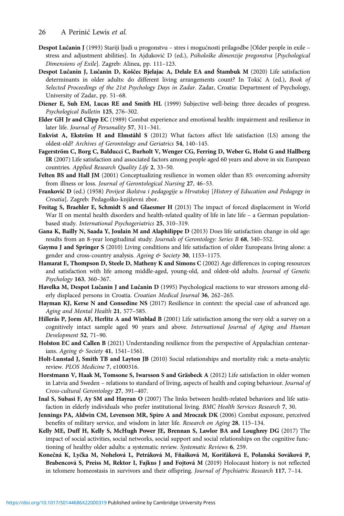- <span id="page-25-0"></span>Despot Lučanin J (1993) Stariji ljudi u progonstvu – stres i mogućnosti prilagodbe [Older people in exile – stress and adjustment abilities]. In Ajduković D (ed.), Psihološke dimenzije progonstva [Psychological Dimensions of Exile]. Zagreb: Alinea, pp. 111–123.
- Despot Lučanin J, Lučanin D, Koščec Bjelajac A, Delale EA and Štambuk M (2020) Life satisfaction determinants in older adults: do different living arrangements count? In Tokić A (ed.), Book of Selected Proceedings of the 21st Psychology Days in Zadar. Zadar, Croatia: Department of Psychology, University of Zadar, pp. 51–68.
- Diener E, Suh EM, Lucas RE and Smith HL (1999) Subjective well-being: three decades of progress. Psychological Bulletin 125, 276–302.
- Elder GH Jr and Clipp EC (1989) Combat experience and emotional health: impairment and resilience in later life. Journal of Personality 57, 311–341.
- Enkvist A, Ekström H and Elmståhl S (2012) What factors affect life satisfaction (LS) among the oldest-old? Archives of Gerontology and Geriatrics 54, 140–145.
- Fagerström C, Borg C, Balducci C, Burholt V, Wenger CG, Ferring D, Weber G, Holst G and Hallberg IR (2007) Life satisfaction and associated factors among people aged 60 years and above in six European countries. Applied Research Quality Life 2, 33–50.
- Felten BS and Hall JM (2001) Conceptualizing resilience in women older than 85: overcoming adversity from illness or loss. Journal of Gerontological Nursing 27, 46-53.
- Franković D (ed.) (1958) Povijest školstva i pedagogije u Hrvatskoj [History of Education and Pedagogy in Croatia]. Zagreb: Pedagoško-književni zbor.
- Freitag S, Braehler E, Schmidt S and Glaesmer H (2013) The impact of forced displacement in World War II on mental health disorders and health-related quality of life in late life - a German populationbased study. International Psychogeriatrics 25, 310–319.
- Gana K, Bailly N, Saada Y, Joulain M and Alaphilippe D (2013) Does life satisfaction change in old age: results from an 8-year longitudinal study. Journals of Gerontology: Series B 68, 540–552.
- Gaymu J and Springer S (2010) Living conditions and life satisfaction of older Europeans living alone: a gender and cross-country analysis. Ageing & Society 30, 1153-1175.
- Hamarat E, Thompson D, Steele D, Matheny K and Simons C (2002) Age differences in coping resources and satisfaction with life among middle-aged, young-old, and oldest-old adults. Journal of Genetic Psychology 163, 360–367.
- Havelka M, Despot Lučanin J and Lučanin D (1995) Psychological reactions to war stressors among elderly displaced persons in Croatia. Croatian Medical Journal 36, 262-265.
- Hayman KJ, Kerse N and Consedine NS (2017) Resilience in context: the special case of advanced age. Aging and Mental Health 21, 577–585.
- Hillerås P, Jorm AF, Herlitz A and Winblad B (2001) Life satisfaction among the very old: a survey on a cognitively intact sample aged 90 years and above. International Journal of Aging and Human Development 52, 71–90.
- Holston EC and Callen B (2021) Understanding resilience from the perspective of Appalachian centenarians. Ageing & Society 41, 1541-1561.
- Holt-Lunstad J, Smith TB and Layton JB (2010) Social relationships and mortality risk: a meta-analytic review. PLOS Medicine 7, e1000316.
- Horstmann V, Haak M, Tomsone S, Iwarsson S and Gräsbeck A (2012) Life satisfaction in older women in Latvia and Sweden – relations to standard of living, aspects of health and coping behaviour. Journal of Cross-cultural Gerontology 27, 391–407.
- Inal S, Subasi F, Ay SM and Hayran O (2007) The links between health-related behaviors and life satisfaction in elderly individuals who prefer institutional living. BMC Health Services Research 7, 30.
- Jennings PA, Aldwin CM, Levenson MR, Spiro A and Mroczek DK (2006) Combat exposure, perceived benefits of military service, and wisdom in later life. Research on Aging 28, 115-134.
- Kelly ME, Duff H, Kelly S, McHugh Power JE, Brennan S, Lawlor BA and Loughrey DG (2017) The impact of social activities, social networks, social support and social relationships on the cognitive functioning of healthy older adults: a systematic review. Systematic Reviews 6, 259.
- Konečná K, Lyčka M, Nohelová L, Petráková M, Fňašková M, Koriťáková E, Polanská Sováková P, Brabencová S, Preiss M, Rektor I, Fajkus J and Fojtová M (2019) Holocaust history is not reflected in telomere homeostasis in survivors and their offspring. Journal of Psychiatric Research 117, 7-14.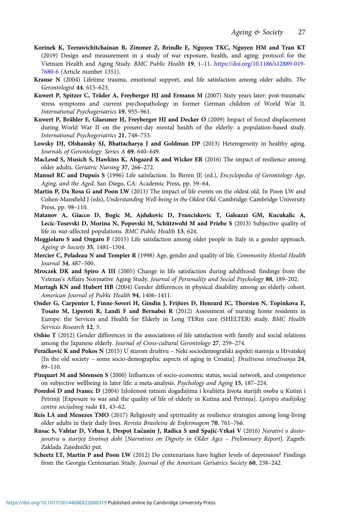- <span id="page-26-0"></span>Korinek K, Teerawichitchainan B, Zimmer Z, Brindle E, Nguyen TKC, Nguyen HM and Tran KT (2019) Design and measurement in a study of war exposure, health, and aging: protocol for the Vietnam Health and Aging Study. BMC Public Health 19, 1–11. [https://doi.org/10.1186/s12889-019-](https://doi.org/10.1186/s12889-019-7680-6) [7680-6](https://doi.org/10.1186/s12889-019-7680-6) (Article number 1351).
- Krause N (2004) Lifetime trauma, emotional support, and life satisfaction among older adults. The Gerontologist 44, 615–623.
- Kuwert P, Spitzer C, Träder A, Freyberger HJ and Ermann M (2007) Sixty years later: post-traumatic stress symptoms and current psychopathology in former German children of World War II. International Psychogeriatrics 19, 955–961.
- Kuwert P, Brähler E, Glaesmer H, Freyberger HJ and Decker O (2009) Impact of forced displacement during World War II on the present-day mental health of the elderly: a population-based study. International Psychogeriatrics 21, 748–753.
- Lowsky DJ, Olshansky SJ, Bhattacharya J and Goldman DP (2013) Heterogeneity in healthy aging. Journals of Gerontology: Series A 69, 640–649.
- MacLeod S, Musich S, Hawkins K, Alsgaard K and Wicker ER (2016) The impact of resilience among older adults. Geriatric Nursing 37, 266–272.
- Mannel RC and Dupuis S (1996) Life satisfaction. In Birren JE (ed.), Encyclopedia of Gerontology Age, Aging, and the Aged. San Diego, CA: Academic Press, pp. 59–64.
- Martin P, Da Rosa G and Poon LW (2011) The impact of life events on the oldest old. In Poon LW and Cohen-Mansfield J (eds), Understanding Well-being in the Oldest Old. Cambridge: Cambridge University Press, pp. 98–110.
- Matanov A, Giacco D, Bogic M, Ajdukovic D, Franciskovic T, Galeazzi GM, Kucukalic A, Lecic-Tosevski D, Morina N, Popovski M, Schützwohl M and Priebe S (2013) Subjective quality of life in war-affected populations. BMC Public Health 13, 624.
- Meggiolaro S and Ongaro F (2015) Life satisfaction among older people in Italy in a gender approach. Ageing & Society 35, 1481–1504.
- Mercier C, Peladeau N and Tempier R (1998) Age, gender and quality of life. Community Mental Health Journal 34, 487–500.
- Mroczek DK and Spiro A III (2005) Change in life satisfaction during adulthood: findings from the Veteran's Affairs Normative Aging Study. Journal of Personality and Social Psychology 88, 189–202.
- Murtagh KN and Hubert HB (2004) Gender differences in physical disability among an elderly cohort. American Journal of Public Health 94, 1406–1411.
- Onder G, Carpenter I, Finne-Soveri H, Gindin J, Frijters D, Henrard JC, Thorsten N, Topinkova E, Tosato M, Liperoti R, Landi F and Bernabei R (2012) Assessment of nursing home residents in Europe: the Services and Health for Elderly in Long TERm care (SHELTER) study. BMC Health Services Research 12, 5.
- Oshio T (2012) Gender differences in the associations of life satisfaction with family and social relations among the Japanese elderly. Journal of Cross-cultural Gerontology 27, 259–274.
- Peračković K and Pokos N (2015) U starom društvu Neki sociodemografski aspekti starenja u Hrvatskoj [In the old society – some socio-demographic aspects of aging in Croatia]. Društvena istraživanja 24, 89–110.
- Pinquart M and Sörensen S (2000) Influences of socio-economic status, social network, and competence on subjective wellbeing in later life: a meta-analysis. Psychology and Aging 15, 187–224.
- Poredoš D and Ivanec D (2004) Izloženost ratnim događajima i kvaliteta života starijih osoba u Kutini i Petrinji [Exposure to war and the quality of life of elderly in Kutina and Petrinja]. Ljetopis studijskog centra socijalnog rada 11, 43–62.
- Reis LA and Menezes TMO (2017) Religiosity and spirituality as resilience strategies among long-living older adults in their daily lives. Revista Brasileira de Enfermagem 70, 761–766.
- Rusac S, Vahtar D, Vrban I, Despot Lučanin J, Radica S and Spajić-Vrkaš V (2016) Narativi o dostojanstvu u starijoj životnoj dobi [Narratives on Dignity in Older Ages – Preliminary Report]. Zagreb: Zaklada Zajednički put.
- Scheetz LT, Martin P and Poon LW (2012) Do centenarians have higher levels of depression? Findings from the Georgia Centenarian Study. Journal of the American Geriatrics Society 60, 238-242.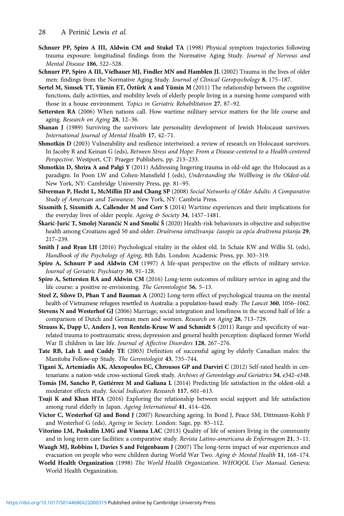- <span id="page-27-0"></span>Schnurr PP, Spiro A III, Aldwin CM and Stukel TA (1998) Physical symptom trajectories following trauma exposure: longitudinal findings from the Normative Aging Study. Journal of Nervous and Mental Disease 186, 522–528.
- Schnurr PP, Spiro A III, Vielhauer MJ, Findler MN and Hamblen JL (2002) Trauma in the lives of older men: findings from the Normative Aging Study. Journal of Clinical Geropsychology 8, 175-187.
- Sertel M, Simsek TT, Yümin ET, Öztürk A and Yümin M (2011) The relationship between the cognitive functions, daily activities, and mobility levels of elderly people living in a nursing home compared with those in a house environment. Topics in Geriatric Rehabilitation 27, 87–92.
- Settersten RA (2006) When nations call. How wartime military service matters for the life course and aging. Research on Aging 28, 12–36.
- Shanan J (1989) Surviving the survivors: late personality development of Jewish Holocaust survivors. International Journal of Mental Health 17, 42–71.
- Shmotkin D (2003) Vulnerability and resilience intertwined: a review of research on Holocaust survivors. In Jacoby R and Keinan G (eds), Between Stress and Hope: From a Disease-centered to a Health-centered Perspective. Westport, CT: Praeger Publishers, pp. 213–233.
- Shmotkin D, Shrira A and Palgi Y (2011) Addressing lingering trauma in old-old age: the Holocaust as a paradigm. In Poon LW and Cohen-Mansfield J (eds), Understanding the Wellbeing in the Oldest-old. New York, NY: Cambridge University Press, pp. 81–95.
- Silverman P, Hecht L, McMillin JD and Chang SP (2008) Social Networks of Older Adults: A Comparative Study of American and Taiwanese. New York, NY: Cambria Press.
- Sixsmith J, Sixsmith A, Callender M and Corr S (2014) Wartime experiences and their implications for the everyday lives of older people. Ageing & Society 34, 1457-1481.
- Škarić-Jurić T, Smolej Narančić N and Smolić Š (2020) Health-risk behaviours in objective and subjective health among Croatians aged 50 and older. Društvena istraživanja: časopis za opća društvena pitanja 29, 217–239.
- Smith J and Ryan LH (2016) Psychological vitality in the oldest old. In Schaie KW and Willis SL (eds), Handbook of the Psychology of Aging, 8th Edn. London: Academic Press, pp. 303–319.
- Spiro A, Schnurr P and Aldwin CM (1997) A life-span perspective on the effects of military service. Journal of Geriatric Psychiatry 30, 91-128.
- Spiro A, Settersten RA and Aldwin CM (2016) Long-term outcomes of military service in aging and the life course: a positive re-envisioning. The Gerontologist 56, 5–13.
- Steel Z, Silove D, Phan T and Bauman A (2002) Long-term effect of psychological trauma on the mental health of Vietnamese refugees resettled in Australia: a population-based study. The Lancet 360, 1056–1062.
- Stevens N and Westerhof GJ (2006) Marriage, social integration and loneliness in the second half of life: a comparison of Dutch and German men and women. Research on Aging 28, 713–729.
- Strauss K, Dapp U, Anders J, von Renteln-Kruse W and Schmidt S (2011) Range and specificity of warrelated trauma to posttraumatic stress; depression and general health perception: displaced former World War II children in late life. Journal of Affective Disorders 128, 267–276.
- Tate RB, Lah L and Cuddy TE (2003) Definition of successful aging by elderly Canadian males: the Manitoba Follow-up Study. The Gerontologist 43, 735–744.
- Tigani X, Artemiadis AK, Alexopoulos EC, Chrousos GP and Darviri C (2012) Self-rated health in centenarians: a nation-wide cross-sectional Greek study. Archives of Gerontology and Geriatrics 54, e342-e348.
- Tomás JM, Sancho P, Gutiérrez M and Galiana L (2014) Predicting life satisfaction in the oldest-old: a moderator effects study. Social Indicators Research 117, 601–613.
- Tsuji K and Khan HTA (2016) Exploring the relationship between social support and life satisfaction among rural elderly in Japan. Ageing International 41, 414–426.
- Victor C, Westerhof GJ and Bond J (2007) Researching ageing. In Bond J, Peace SM, Dittmann-Kohli F and Westerhof G (eds), Ageing in Society. London: Sage, pp. 85–112.
- Vitorino LM, Paskulin LMG and Vianna LAC (2013) Quality of life of seniors living in the community and in long term care facilities: a comparative study. Revista Latino-americana de Enfermagem 21, 3-11.
- Waugh MJ, Robbins I, Davies S and Feigenbaum J (2007) The long-term impact of war experiences and evacuation on people who were children during World War Two. Aging & Mental Health 11, 168-174.
- World Health Organization (1998) The World Health Organization. WHOQOL User Manual. Geneva: World Health Organization.